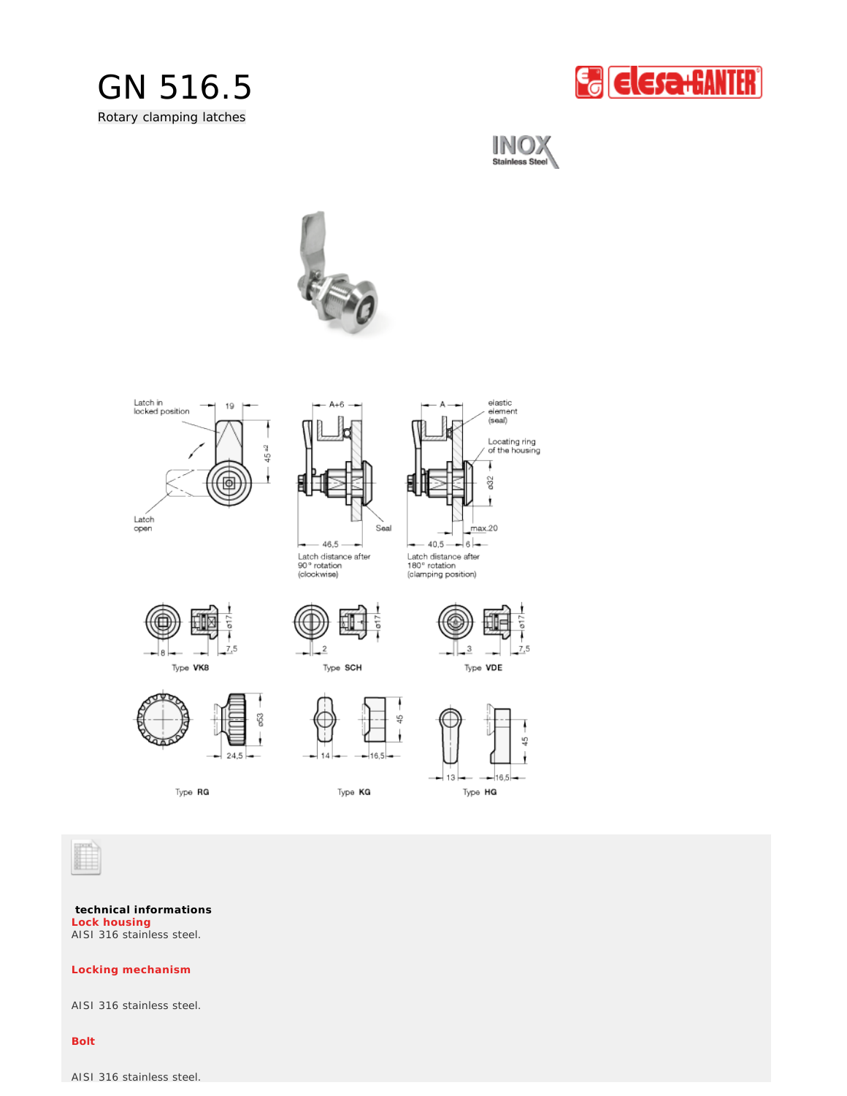













Latch distance after<br>90° rotation<br>(clockwise)

Latch distance after<br>180° rotation<br>(clamping position)





Type SCH





Type RG

14 16.5

 $\frac{6}{4}$ 

Type KG





**technical informations** AISI 316 stainless steel. **Lock housing**

**Locking mechanism**

AISI 316 stainless steel.

**Bolt**

AISI 316 stainless steel.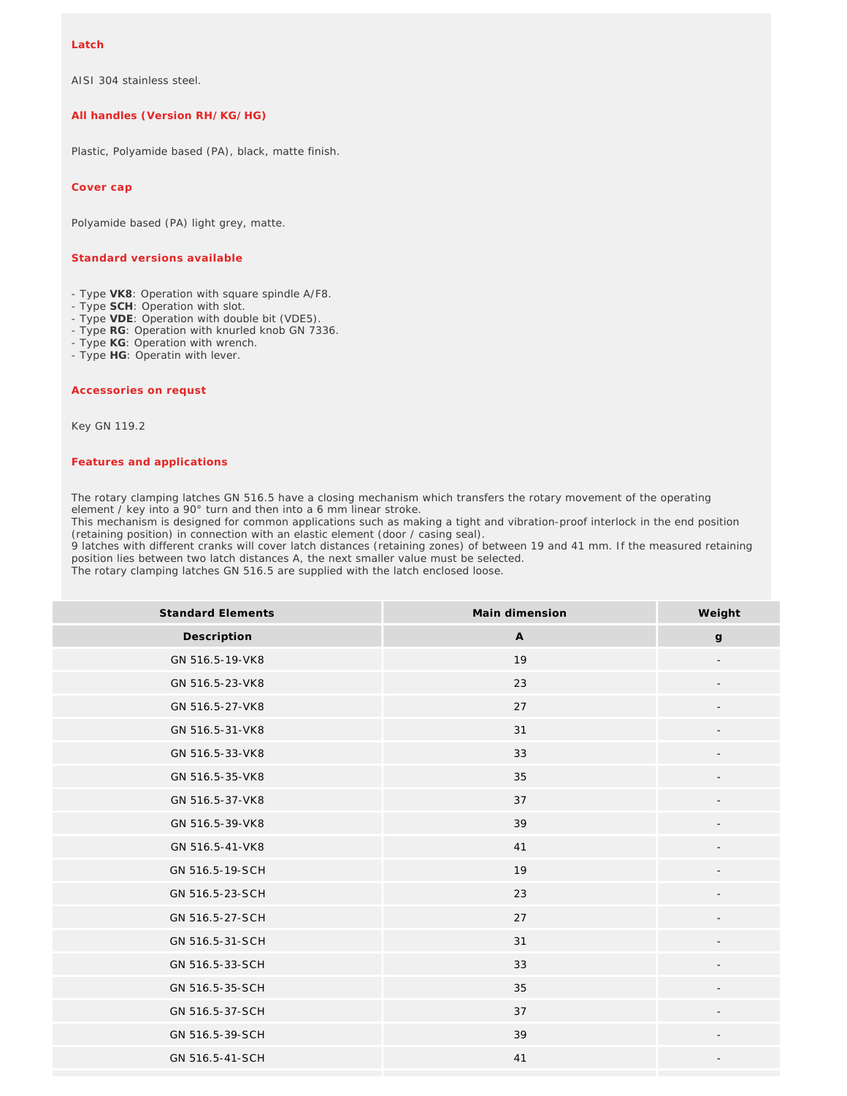AISI 304 stainless steel.

## **All handles (Version RH/KG/HG)**

Plastic, Polyamide based (PA), black, matte finish.

**Cover cap**

Polyamide based (PA) light grey, matte.

## **Standard versions available**

- Type **VK8**: Operation with square spindle A/F8.
- Type **SCH**: Operation with slot.
- Type **VDE**: Operation with double bit (VDE5).
- Type **RG**: Operation with knurled knob GN 7336.
- Type **KG**: Operation with wrench.
- Type **HG**: Operatin with lever.

## **Accessories on requst**

Key GN 119.2

## *Features and applications*

The rotary clamping latches GN 516.5 have a closing mechanism which transfers the rotary movement of the operating element / key into a 90° turn and then into a 6 mm linear stroke.

This mechanism is designed for common applications such as making a tight and vibration-proof interlock in the end position (retaining position) in connection with an elastic element (door / casing seal).

9 latches with different cranks will cover latch distances (retaining zones) of between 19 and 41 mm. If the measured retaining position lies between two latch distances A, the next smaller value must be selected.

The rotary clamping latches GN 516.5 are supplied with the latch enclosed loose.

| <b>Standard Elements</b> | Main dimension | Weight                   |
|--------------------------|----------------|--------------------------|
| Description              | $\mathsf{A}$   | $\mathsf g$              |
| GN 516.5-19-VK8          | 19             |                          |
| GN 516.5-23-VK8          | 23             |                          |
| GN 516.5-27-VK8          | 27             |                          |
| GN 516.5-31-VK8          | 31             |                          |
| GN 516.5-33-VK8          | 33             |                          |
| GN 516.5-35-VK8          | 35             | $\overline{\phantom{a}}$ |
| GN 516.5-37-VK8          | 37             | $\overline{\phantom{a}}$ |
| GN 516.5-39-VK8          | 39             |                          |
| GN 516.5-41-VK8          | 41             |                          |
| GN 516.5-19-SCH          | 19             |                          |
| GN 516.5-23-SCH          | 23             |                          |
| GN 516.5-27-SCH          | 27             |                          |
| GN 516.5-31-SCH          | 31             |                          |
| GN 516.5-33-SCH          | 33             |                          |
| GN 516.5-35-SCH          | 35             |                          |
| GN 516.5-37-SCH          | 37             | $\overline{\phantom{a}}$ |
| GN 516.5-39-SCH          | 39             | $\overline{\phantom{a}}$ |
| GN 516.5-41-SCH          | 41             |                          |